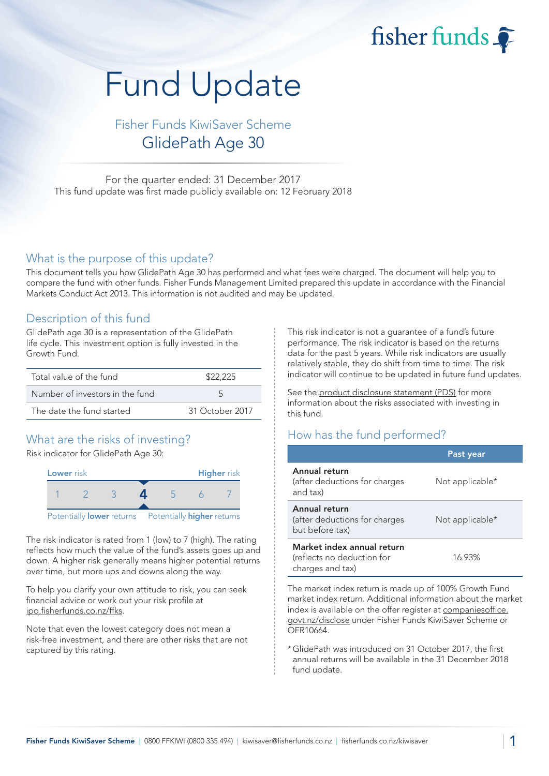# fisher funds

# Fund Update

# Fisher Funds KiwiSaver Scheme GlidePath Age 30

For the quarter ended: 31 December 2017 This fund update was first made publicly available on: 12 February 2018

#### What is the purpose of this update?

This document tells you how GlidePath Age 30 has performed and what fees were charged. The document will help you to compare the fund with other funds. Fisher Funds Management Limited prepared this update in accordance with the Financial Markets Conduct Act 2013. This information is not audited and may be updated.

#### Description of this fund

GlidePath age 30 is a representation of the GlidePath life cycle. This investment option is fully invested in the Growth Fund.

| Total value of the fund         | \$22,225        |  |
|---------------------------------|-----------------|--|
| Number of investors in the fund | $\overline{a}$  |  |
| The date the fund started       | 31 October 2017 |  |

# What are the risks of investing?

Risk indicator for GlidePath Age 30:



The risk indicator is rated from 1 (low) to 7 (high). The rating reflects how much the value of the fund's assets goes up and down. A higher risk generally means higher potential returns over time, but more ups and downs along the way.

To help you clarify your own attitude to risk, you can seek financial advice or work out your risk profile at ipq.fisherfunds.co.nz/ffks.

Note that even the lowest category does not mean a risk-free investment, and there are other risks that are not captured by this rating.

This risk indicator is not a guarantee of a fund's future performance. The risk indicator is based on the returns data for the past 5 years. While risk indicators are usually relatively stable, they do shift from time to time. The risk indicator will continue to be updated in future fund updates.

See the product disclosure statement (PDS) for more information about the risks associated with investing in this fund.

### How has the fund performed?

|                                                                              | Past year       |
|------------------------------------------------------------------------------|-----------------|
| Annual return<br>(after deductions for charges<br>and tax)                   | Not applicable* |
| Annual return<br>(after deductions for charges<br>but before tax)            | Not applicable* |
| Market index annual return<br>(reflects no deduction for<br>charges and tax) | 16.93%          |

The market index return is made up of 100% Growth Fund market index return. Additional information about the market index is available on the offer register at companiesoffice. govt.nz/disclose under Fisher Funds KiwiSaver Scheme or OFR10664.

\*GlidePath was introduced on 31 October 2017, the first annual returns will be available in the 31 December 2018 fund update.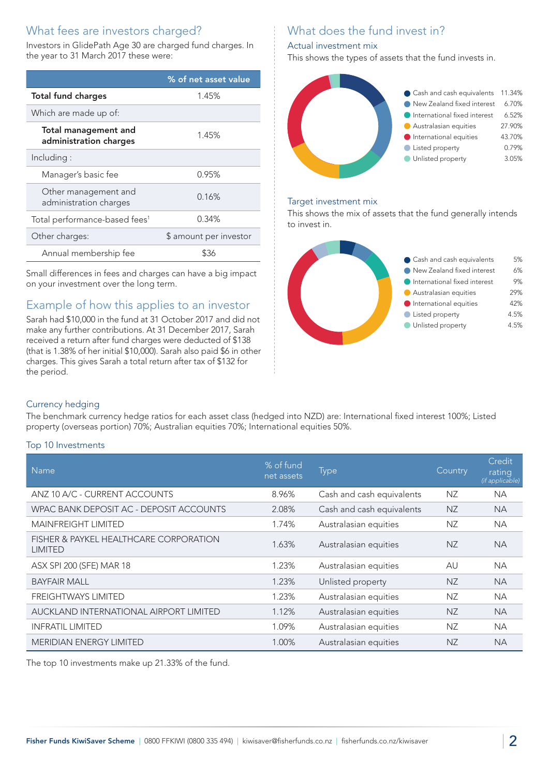# What fees are investors charged?

Investors in GlidePath Age 30 are charged fund charges. In the year to 31 March 2017 these were:

|                                                | % of net asset value   |  |
|------------------------------------------------|------------------------|--|
| <b>Total fund charges</b>                      | 1.45%                  |  |
| Which are made up of:                          |                        |  |
| Total management and<br>administration charges | 1.45%                  |  |
| Including:                                     |                        |  |
| Manager's basic fee                            | 0.95%                  |  |
| Other management and<br>administration charges | 0.16%                  |  |
| Total performance-based fees <sup>1</sup>      | 0.34%                  |  |
| Other charges:                                 | \$ amount per investor |  |
| Annual membership fee                          |                        |  |

Small differences in fees and charges can have a big impact on your investment over the long term.

### Example of how this applies to an investor

Sarah had \$10,000 in the fund at 31 October 2017 and did not make any further contributions. At 31 December 2017, Sarah received a return after fund charges were deducted of \$138 (that is 1.38% of her initial \$10,000). Sarah also paid \$6 in other charges. This gives Sarah a total return after tax of \$132 for the period.

# What does the fund invest in?

#### Actual investment mix

This shows the types of assets that the fund invests in.



#### Target investment mix

This shows the mix of assets that the fund generally intends to invest in.



#### Currency hedging

The benchmark currency hedge ratios for each asset class (hedged into NZD) are: International fixed interest 100%; Listed property (overseas portion) 70%; Australian equities 70%; International equities 50%.

#### Top 10 Investments

| <b>Name</b>                                              | % of fund<br>net assets | <b>Type</b>               | Country   | Credit<br>rating<br>(if applicable) |
|----------------------------------------------------------|-------------------------|---------------------------|-----------|-------------------------------------|
| ANZ 10 A/C - CURRENT ACCOUNTS                            | 8.96%                   | Cash and cash equivalents | NZ.       | <b>NA</b>                           |
| WPAC BANK DEPOSIT AC - DEPOSIT ACCOUNTS                  | 2.08%                   | Cash and cash equivalents | <b>NZ</b> | <b>NA</b>                           |
| <b>MAINFREIGHT LIMITED</b>                               | 1.74%                   | Australasian equities     | NZ        | <b>NA</b>                           |
| FISHER & PAYKEL HEALTHCARE CORPORATION<br><b>LIMITED</b> | 1.63%                   | Australasian equities     | NZ        | <b>NA</b>                           |
| ASX SPI 200 (SFE) MAR 18                                 | 1.23%                   | Australasian equities     | AU        | <b>NA</b>                           |
| <b>BAYFAIR MALL</b>                                      | 1.23%                   | Unlisted property         | <b>NZ</b> | <b>NA</b>                           |
| <b>FREIGHTWAYS LIMITED</b>                               | 1.23%                   | Australasian equities     | ΝZ        | <b>NA</b>                           |
| AUCKLAND INTERNATIONAL AIRPORT LIMITED                   | 1.12%                   | Australasian equities     | <b>NZ</b> | <b>NA</b>                           |
| <b>INFRATIL LIMITED</b>                                  | 1.09%                   | Australasian equities     | <b>NZ</b> | <b>NA</b>                           |
| <b>MERIDIAN ENERGY LIMITED</b>                           | 1.00%                   | Australasian equities     | ΝZ        | <b>NA</b>                           |

The top 10 investments make up 21.33% of the fund.